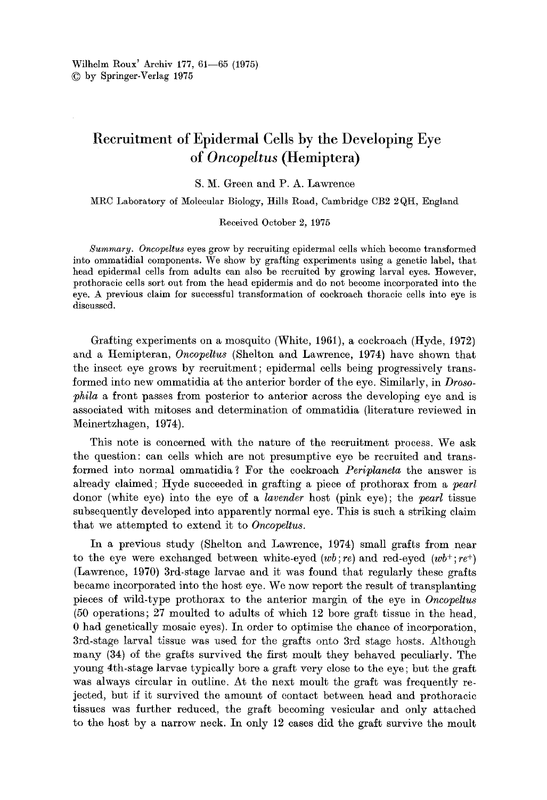Wilhelm Roux' Archiv 177, 61-65 (1975) 9 by Springer-Verlag 1975

## **Recruitment of Epidermal Cells by the Developing Eye of** *Oncopeltus* **(Hemiptera)**

S. M. Green and P. A. Lawrence

MRC Laboratory of Molecular Biology, Hills Road, Cambridge CB2 2QH, England

Received October 2, 1975

*Summary. Oncopeltus* eyes grow by recruiting epidermal cells which become transformed into ommatidial components. We show by grafting experiments using a genetic label, that head epidermal cells from adults can also be recruited by growing larval eyes. However, prothoraeic cells sort out from the head epidermis and do not become incorporated into the eye. A previous claim for successful transformation of cockroach thoracic cells into eye is discussed.

Grafting experiments on a mosquito (White, 1961), a cockroach (Hyde, 1972) and a Hemipteran, *Oncopeltus* (Shelton and Lawrence, 1974) have shown that the insect eye grows by recruitment; epidermal cells being progressively transformed into new ommatidia at the anterior border of the eye. Similarly, in *Drosophila* a front passes from posterior to anterior across the developing eye and is associated with mitoses and determination of ommatidia (literature reviewed in Meinertzhagen, 1974).

This note is concerned with the nature of the recruitment process. We ask the question: can cells which are not presumptive eye be recruited and transformed into normal ommatidia ? For the cockroach *Periplaneta* the answer is already claimed; Hyde succeeded in grafting a piece of prothorax from a *pearl*  donor (white eye) into the eye of a *lavender* host (pink eye); the *pearl* tissue subsequently developed into apparently normal eye. This is such a striking claim that we attempted to extend it to *Oncopeltus.* 

In a previous study (Shelton and Lawrence, 1974) small grafts from near to the eye were exchanged between white-eyed  $(wb;re)$  and red-eyed  $(wb^+;re^+)$ (Lawrence, 1970) 3rd-stage larvae and it was found that regularly these grafts became incorporated into the host eye. We now report the result of transplanting pieces of wild-type prothorax to the anterior margin of the eye in *Oncopeltus*  (50 operations; 27 moulted to adults oi which 12 bore graft tissue in the head, 0 had genetically mosaic eyes). In order to optimise the chance of incorporation, 3rd-stage larval tissue was used for the grafts onto 3rd stage hosts. Although many (34) of the grafts survived the first moult they behaved peculiarly. The young 4th-stage larvae typically bore a graft very close to the eye; but the graft was always circular in outline. At the next moult the graft was frequently rejected, but if it survived the amount of contact between head and prothoracic tissues was further reduced, the graft becoming vesicular and only attached to the host by a narrow neck. In only 12 cases did the graft survive the moult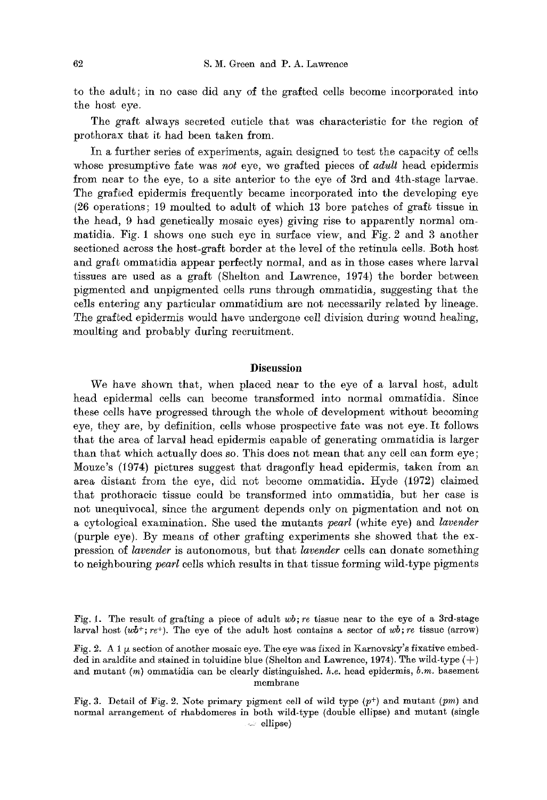to the adult; in no case did any of the grafted ceils become incorporated into the host eye.

The graft always secreted cuticle that was characteristic for the region of prothorax that it had been taken from.

In a further series of experiments, again designed to test the capacity of cells whose presumptive fate was *not* eye, we grafted pieces of *adult* head epidermis from near to the eye, to a site anterior to the eye of 3rd and 4th-stage larvae. The grafted epidermis frequently became incorporated into the developing eye (26 operations; 19 moulted to adult of which 13 bore patches of graft tissue in the head, 9 had genetically mosaic eyes) giving rise to apparently normal ommatidia. Fig. 1 shows one such eye in surface view, and Fig. 2 and 3 another sectioned across the host-graft border at the level of the retinula cells. Both host and graft ommatidia appear perfectly normal, and as in those eases where larval tissues are used as a graft (Shelton and Lawrence, 1974) the border between pigmented and unpigmented cells runs through ommatidia, suggesting that the cells entering any particular ommatidium are not necessarily related by lineage. The grafted epidermis would have undergone cell division during wound healing, moulting and probably during recruitment.

## **Discussion**

We have shown that, when placed near to the eye of a larval host, adult head epidermal cells can become transformed into normal ommatidia. Since these ceils have progressed through the whole of development without becoming eye, they are, by definition, cells whose prospective fate was not eye. It follows that the area of larval head epidermis capable of generating ommatidia is larger than that which actually does so. This does not mean that any cell can form eye; Monze's (1974) pictures suggest that dragonfly head epidermis, taken from an area distant from the eye, did not become ommatidia. Hyde (1972) claimed that prothoracic tissue could be transformed into ommatidia, but her case is not unequivocal, since the argument depends only on pigmentation and not on a cytological examination. She used the mutants *pearl* (white eye) and *lavender*  (purple eye). By means of other grafting experiments she showed that the expression of *lavender* is autonomous, but that *lavender* cells can donate something to neighbouring *pearl* cells which results in that tissue forming wild-type pigments

Fig. i. The result of grafting a piece of adult *wb; re* tissue near to the eye of a 3rd-stage larval host  $(wb^+; re^+)$ . The eye of the adult host contains a sector of  $wb; re$  tissue (arrow)

Fig. 2. A 1  $\mu$  section of another mosaic eye. The eye was fixed in Karnovsky's fixative embedded in araldite and stained in toluidine blue (Shelton and Lawrence, 1974). The wild-type  $(+)$ and mutant (m) ommatidia can be clearly distinguished, *h.e.* head epidermis, *b.m.* basement membrane

Fig. 3. Detail of Fig. 2. Note primary pigment cell of wild type  $(p^+)$  and mutant  $(pm)$  and normal arrangement of rhabdomeres in both wild-type (double ellipse) and mutant (single -~.. ellipse)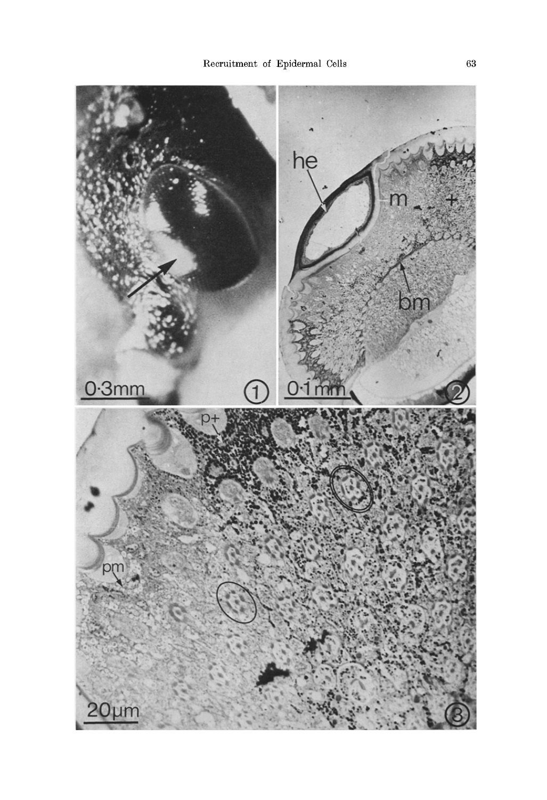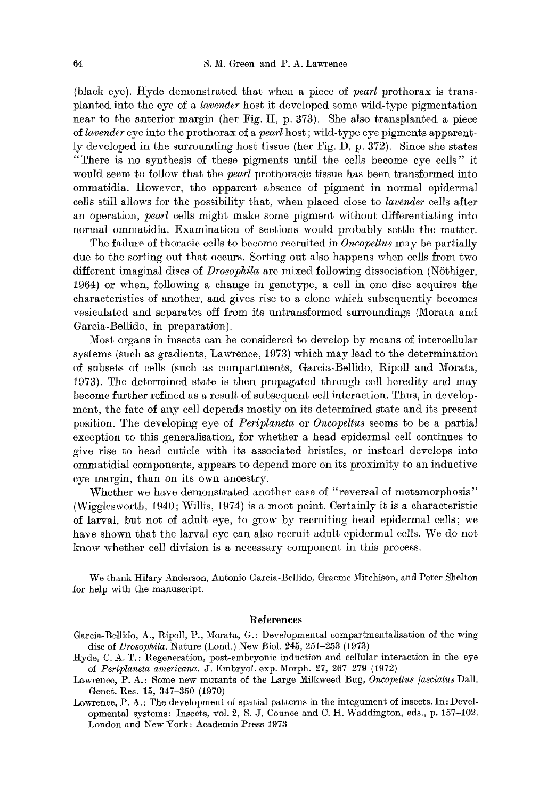(black eye). Hyde demonstrated that when a piece of *pearl* prothorax is transplanted into the eye of a *lavender* host it developed some wild-type pigmentation near to the anterior margin (her Fig. H, p. 373). She also transplanted a piece of *lavender* eye into the prothorax of a *pearl* host ; wild-type eye pigments apparently developed in the surrounding host tissue (her Fig. D, p. 372). Since she states "There is no synthesis of these pigments until the cells become eye cells" it would seem to follow that the *pearl* prothoracic tissue has been transformed into ommatidia. However, the apparent absence of pigment in normal epidermal cells still allows for the possibility that, when placed close to *lavender* cells after an operation, *pearl* cells might make some pigment without differentiating into normal ommatidia. Examination of sections would probably settle the matter.

The failure of thoracic cells to become recruited in *Oncopeltus* may be partially due to the sorting out that occurs. Sorting out also happens when cells from two different imaginal discs of *Drosophila* are mixed following dissociation (Nöthiger, 1966) or when, following a change in genotype, a cell in one disc acquires the characteristics of another, and gives rise to a clone which subsequently becomes vesiculated and separates off from its untransformed surroundings (Morata and Garcia-Bellido, in preparation).

Most organs in insects can be considered to develop by means of intercellular systems (such as gradients, Lawrence, 1973) which may lead to the determination of subsets of cells (such as compartments, Garcia-Bellido, Ripoll and Morata, 1973). The determined state is then propagated through cell heredity and may become further refined as a result of subsequent cell interaction. Thus, in development, the fate of any cell depends mostly on its determined state and its present position. The developing eye of *Periplaneta* or *Oncopeltus* seems to be a partial exception to this generalisation, for whether a head epidermal cell continues to give rise to head cuticle with its associated bristles, or instead develops into ommatidial components, appears to depend more on its proximity to an iaductive eye margin, than on its own ancestry.

Whether we have demonstrated another ease of "reversal of metamorphosis" (Wigglesworth, 1960; Willis, 1976) is a moot point. Certainly it is a characteristic of larval, but not of adult eye, to grow by recruiting head epidermal cells; we have shown that the larval eye can also recruit adult epidermal cells. We do not know whether cell division is a necessary component in this process.

We thank Hilary Anderson, Antonio Garcia-Bellido, Graeme Mitehison, and Peter Shelton for help with the manuscript.

## **References**

- Garcia-Bellido, A., Ripoll, P., Morata, G.: Developmental compartmentalisation of the wing disc of *Drosophila*. Nature (Lond.) New Biol. 245, 251-253 (1973)
- Hyde, C. A. T.: Regeneration, post-embryonic induction and cellular interaction in the eye of *Periplaneta americana.* J. Embryol. exp. Morph. 27, 267-279 (1972)
- Lawrence, P. A.: Some new mutants of the Large Milkweed Bug, Oncopeltus fasciatus Dall. Genet. Res. 15, 347-350 (1970)
- Lawrence, P. A. : The development of spatial patterns in the integument of insects. In: Bevelopmental systems: Insects, vol. 2, S. J. Counce and C. H. Waddington, eds., p. 157-102. London and New York : Academic Press 1973